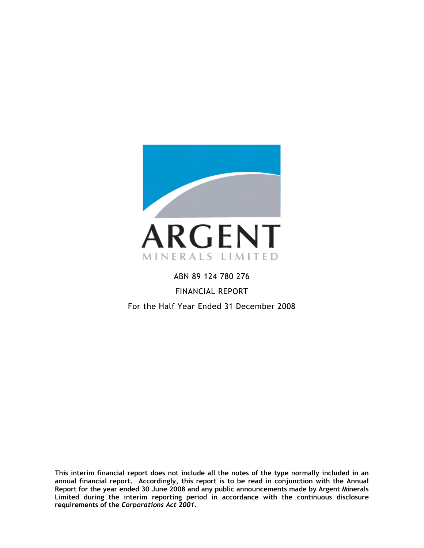

# ABN 89 124 780 276

FINANCIAL REPORT

For the Half Year Ended 31 December 2008

**This interim financial report does not include all the notes of the type normally included in an annual financial report. Accordingly, this report is to be read in conjunction with the Annual Report for the year ended 30 June 2008 and any public announcements made by Argent Minerals Limited during the interim reporting period in accordance with the continuous disclosure requirements of the** *Corporations Act 2001***.**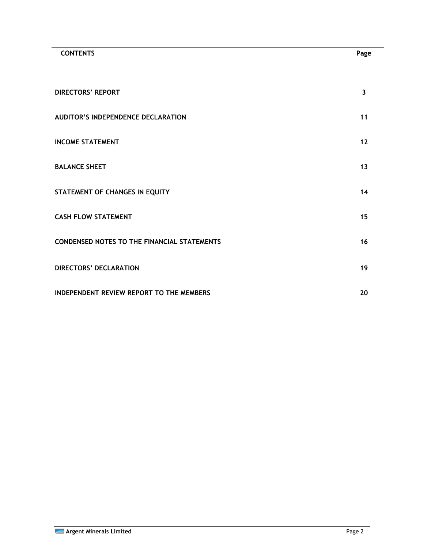| <b>CONTENTS</b>                                    | Page |
|----------------------------------------------------|------|
|                                                    |      |
| <b>DIRECTORS' REPORT</b>                           | 3    |
| <b>AUDITOR'S INDEPENDENCE DECLARATION</b>          | 11   |
| <b>INCOME STATEMENT</b>                            | 12   |
| <b>BALANCE SHEET</b>                               | 13   |
| STATEMENT OF CHANGES IN EQUITY                     | 14   |
| <b>CASH FLOW STATEMENT</b>                         | 15   |
| <b>CONDENSED NOTES TO THE FINANCIAL STATEMENTS</b> | 16   |
| <b>DIRECTORS' DECLARATION</b>                      | 19   |
| INDEPENDENT REVIEW REPORT TO THE MEMBERS           | 20   |

 $\overline{\phantom{a}}$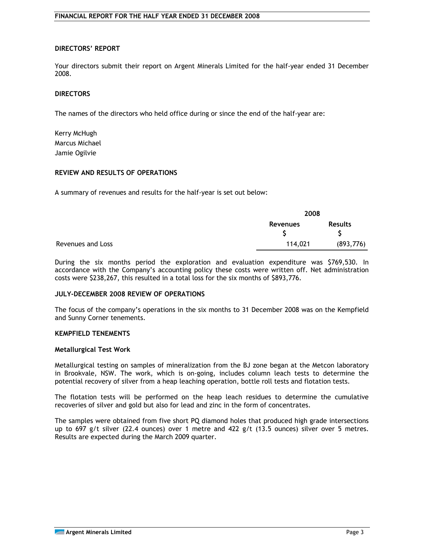#### **DIRECTORS' REPORT**

Your directors submit their report on Argent Minerals Limited for the half-year ended 31 December 2008.

### **DIRECTORS**

The names of the directors who held office during or since the end of the half-year are:

Kerry McHugh Marcus Michael Jamie Ogilvie

## **REVIEW AND RESULTS OF OPERATIONS**

A summary of revenues and results for the half-year is set out below:

|                   |                 | 2008           |  |  |
|-------------------|-----------------|----------------|--|--|
|                   | <b>Revenues</b> | <b>Results</b> |  |  |
|                   |                 |                |  |  |
| Revenues and Loss | 114,021         | (893, 776)     |  |  |

During the six months period the exploration and evaluation expenditure was \$769,530. In accordance with the Company's accounting policy these costs were written off. Net administration costs were \$238,267, this resulted in a total loss for the six months of \$893,776.

## **JULY-DECEMBER 2008 REVIEW OF OPERATIONS**

The focus of the company's operations in the six months to 31 December 2008 was on the Kempfield and Sunny Corner tenements.

#### **KEMPFIELD TENEMENTS**

#### **Metallurgical Test Work**

Metallurgical testing on samples of mineralization from the BJ zone began at the Metcon laboratory in Brookvale, NSW. The work, which is on-going, includes column leach tests to determine the potential recovery of silver from a heap leaching operation, bottle roll tests and flotation tests.

The flotation tests will be performed on the heap leach residues to determine the cumulative recoveries of silver and gold but also for lead and zinc in the form of concentrates.

The samples were obtained from five short PQ diamond holes that produced high grade intersections up to 697 g/t silver (22.4 ounces) over 1 metre and 422 g/t (13.5 ounces) silver over 5 metres. Results are expected during the March 2009 quarter.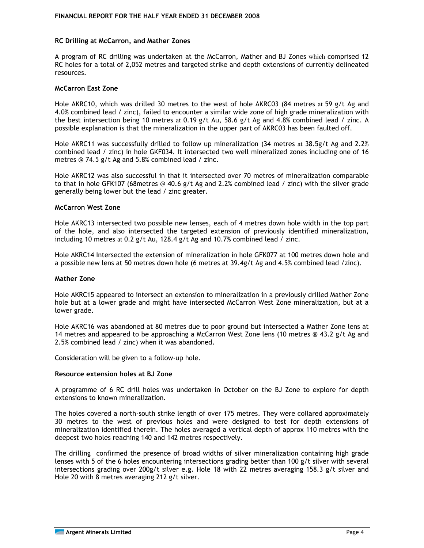### **RC Drilling at McCarron, and Mather Zones**

A program of RC drilling was undertaken at the McCarron, Mather and BJ Zones which comprised 12 RC holes for a total of 2,052 metres and targeted strike and depth extensions of currently delineated resources.

#### **McCarron East Zone**

Hole AKRC10, which was drilled 30 metres to the west of hole AKRC03 (84 metres at 59 g/t Ag and 4.0% combined lead / zinc), failed to encounter a similar wide zone of high grade mineralization with the best intersection being 10 metres at 0.19 g/t Au, 58.6 g/t Ag and 4.8% combined lead / zinc. A possible explanation is that the mineralization in the upper part of AKRC03 has been faulted off.

Hole AKRC11 was successfully drilled to follow up mineralization (34 metres at 38.5g/t Ag and 2.2% combined lead / zinc) in hole GKF034. It intersected two well mineralized zones including one of 16 metres @ 74.5 g/t Ag and 5.8% combined lead / zinc.

Hole AKRC12 was also successful in that it intersected over 70 metres of mineralization comparable to that in hole GFK107 (68metres @ 40.6 g/t Ag and 2.2% combined lead / zinc) with the silver grade generally being lower but the lead / zinc greater.

#### **McCarron West Zone**

Hole AKRC13 intersected two possible new lenses, each of 4 metres down hole width in the top part of the hole, and also intersected the targeted extension of previously identified mineralization, including 10 metres at 0.2 g/t Au, 128.4 g/t Ag and 10.7% combined lead / zinc.

Hole AKRC14 Intersected the extension of mineralization in hole GFK077 at 100 metres down hole and a possible new lens at 50 metres down hole (6 metres at 39.4g/t Ag and 4.5% combined lead /zinc).

#### **Mather Zone**

Hole AKRC15 appeared to intersect an extension to mineralization in a previously drilled Mather Zone hole but at a lower grade and might have intersected McCarron West Zone mineralization, but at a lower grade.

Hole AKRC16 was abandoned at 80 metres due to poor ground but intersected a Mather Zone lens at 14 metres and appeared to be approaching a McCarron West Zone lens (10 metres @ 43.2 g/t Ag and 2.5% combined lead / zinc) when it was abandoned.

Consideration will be given to a follow-up hole.

## **Resource extension holes at BJ Zone**

A programme of 6 RC drill holes was undertaken in October on the BJ Zone to explore for depth extensions to known mineralization.

The holes covered a north-south strike length of over 175 metres. They were collared approximately 30 metres to the west of previous holes and were designed to test for depth extensions of mineralization identified therein. The holes averaged a vertical depth of approx 110 metres with the deepest two holes reaching 140 and 142 metres respectively.

The drilling confirmed the presence of broad widths of silver mineralization containing high grade lenses with 5 of the 6 holes encountering intersections grading better than 100 g/t silver with several intersections grading over 200g/t silver e.g. Hole 18 with 22 metres averaging 158.3 g/t silver and Hole 20 with 8 metres averaging 212 g/t silver.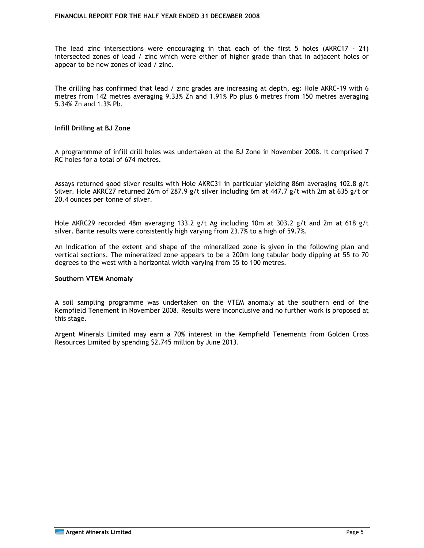The lead zinc intersections were encouraging in that each of the first 5 holes (AKRC17 - 21) intersected zones of lead / zinc which were either of higher grade than that in adjacent holes or appear to be new zones of lead / zinc.

The drilling has confirmed that lead / zinc grades are increasing at depth, eg: Hole AKRC-19 with 6 metres from 142 metres averaging 9.33% Zn and 1.91% Pb plus 6 metres from 150 metres averaging 5.34% Zn and 1.3% Pb.

## **Infill Drilling at BJ Zone**

A programmme of infill drill holes was undertaken at the BJ Zone in November 2008. It comprised 7 RC holes for a total of 674 metres.

Assays returned good silver results with Hole AKRC31 in particular yielding 86m averaging 102.8 g/t Silver. Hole AKRC27 returned 26m of 287.9 g/t silver including 6m at 447.7 g/t with 2m at 635 g/t or 20.4 ounces per tonne of silver.

Hole AKRC29 recorded 48m averaging 133.2 g/t Ag including 10m at 303.2 g/t and 2m at 618 g/t silver. Barite results were consistently high varying from 23.7% to a high of 59.7%.

An indication of the extent and shape of the mineralized zone is given in the following plan and vertical sections. The mineralized zone appears to be a 200m long tabular body dipping at 55 to 70 degrees to the west with a horizontal width varying from 55 to 100 metres.

## **Southern VTEM Anomaly**

A soil sampling programme was undertaken on the VTEM anomaly at the southern end of the Kempfield Tenement in November 2008. Results were inconclusive and no further work is proposed at this stage.

Argent Minerals Limited may earn a 70% interest in the Kempfield Tenements from Golden Cross Resources Limited by spending \$2.745 million by June 2013.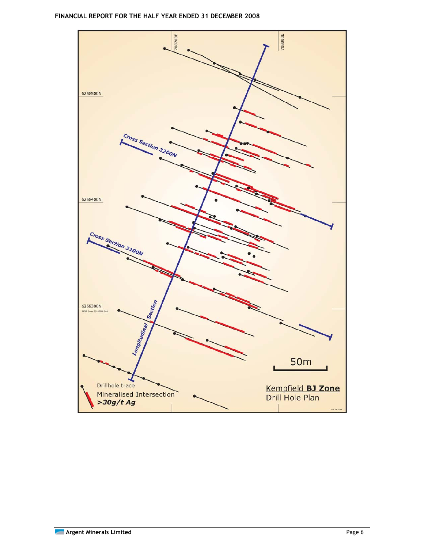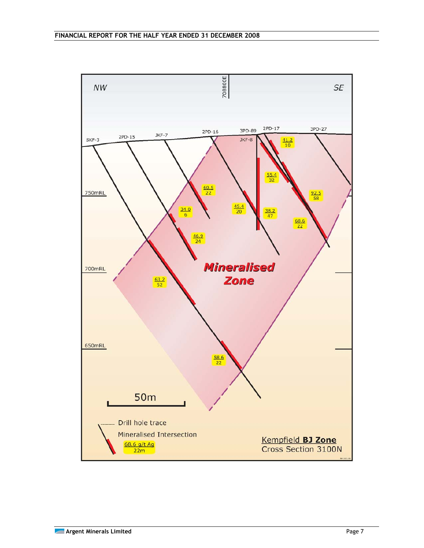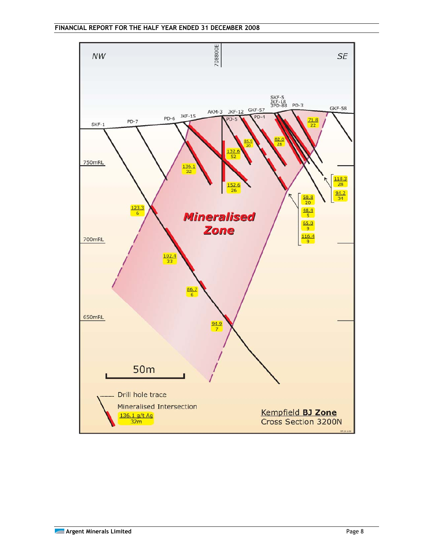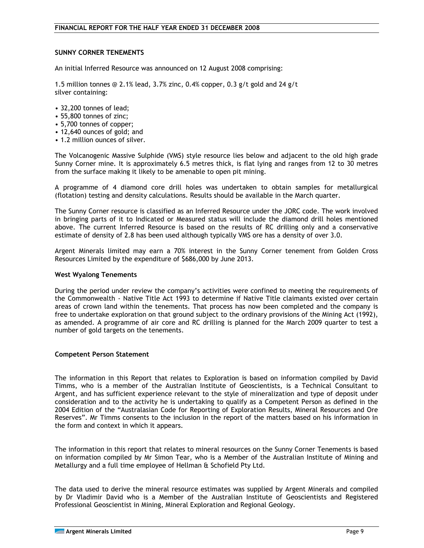## **SUNNY CORNER TENEMENTS**

An initial Inferred Resource was announced on 12 August 2008 comprising:

1.5 million tonnes @ 2.1% lead, 3.7% zinc, 0.4% copper, 0.3 g/t gold and 24 g/t silver containing:

- 32,200 tonnes of lead;
- 55,800 tonnes of zinc;
- 5,700 tonnes of copper;
- 12,640 ounces of gold; and
- 1.2 million ounces of silver.

The Volcanogenic Massive Sulphide (VMS) style resource lies below and adjacent to the old high grade Sunny Corner mine. It is approximately 6.5 metres thick, is flat lying and ranges from 12 to 30 metres from the surface making it likely to be amenable to open pit mining.

A programme of 4 diamond core drill holes was undertaken to obtain samples for metallurgical (flotation) testing and density calculations. Results should be available in the March quarter.

The Sunny Corner resource is classified as an Inferred Resource under the JORC code. The work involved in bringing parts of it to Indicated or Measured status will include the diamond drill holes mentioned above. The current Inferred Resource is based on the results of RC drilling only and a conservative estimate of density of 2.8 has been used although typically VMS ore has a density of over 3.0.

Argent Minerals limited may earn a 70% interest in the Sunny Corner tenement from Golden Cross Resources Limited by the expenditure of \$686,000 by June 2013.

#### **West Wyalong Tenements**

During the period under review the company's activities were confined to meeting the requirements of the Commonwealth - Native Title Act 1993 to determine if Native Title claimants existed over certain areas of crown land within the tenements. That process has now been completed and the company is free to undertake exploration on that ground subject to the ordinary provisions of the Mining Act (1992), as amended. A programme of air core and RC drilling is planned for the March 2009 quarter to test a number of gold targets on the tenements.

## **Competent Person Statement**

The information in this Report that relates to Exploration is based on information compiled by David Timms, who is a member of the Australian Institute of Geoscientists, is a Technical Consultant to Argent, and has sufficient experience relevant to the style of mineralization and type of deposit under consideration and to the activity he is undertaking to qualify as a Competent Person as defined in the 2004 Edition of the "Australasian Code for Reporting of Exploration Results, Mineral Resources and Ore Reserves". Mr Timms consents to the inclusion in the report of the matters based on his information in the form and context in which it appears.

The information in this report that relates to mineral resources on the Sunny Corner Tenements is based on information compiled by Mr Simon Tear, who is a Member of the Australian Institute of Mining and Metallurgy and a full time employee of Hellman & Schofield Pty Ltd.

The data used to derive the mineral resource estimates was supplied by Argent Minerals and compiled by Dr Vladimir David who is a Member of the Australian Institute of Geoscientists and Registered Professional Geoscientist in Mining, Mineral Exploration and Regional Geology.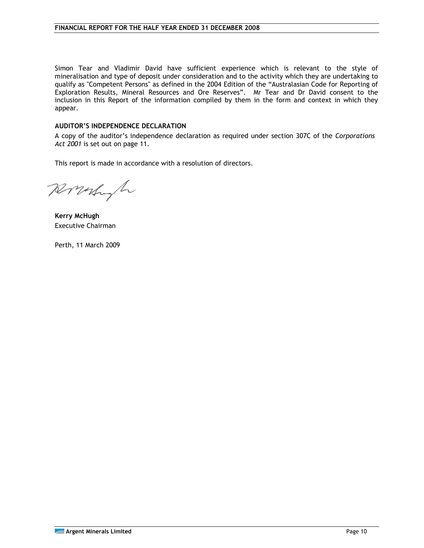Simon Tear and Vladimir David have sufficient experience which is relevant to the style of mineralisation and type of deposit under consideration and to the activity which they are undertaking to qualify as "Competent Persons" as defined in the 2004 Edition of the "Australasian Code for Reporting of Exploration Results, Mineral Resources and Ore Reserves". Mr Tear and Dr David consent to the inclusion in this Report of the information compiled by them in the form and context in which they appear.

## **AUDITOR'S INDEPENDENCE DECLARATION**

A copy of the auditor's independence declaration as required under section 307C of the *Corporations Act 2001* is set out on page 11.

This report is made in accordance with a resolution of directors.

Ronalyh

**Kerry McHugh**  Executive Chairman

Perth, 11 March 2009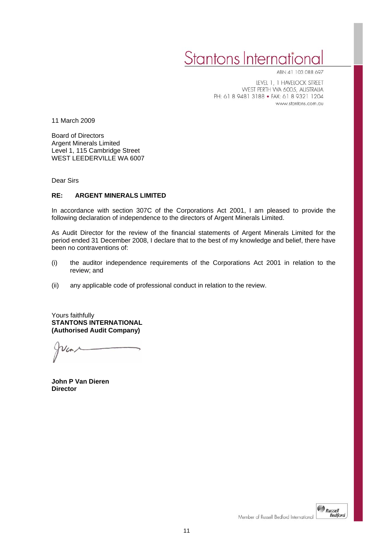# **Stantons Internation**

ABN 41 103 088 697

LEVEL 1, 1 HAVELOCK STREET WEST PERTH WA 6005, AUSTRALIA PH: 61 8 9481 3188 · FAX: 61 8 9321 1204 www.stantons.com.au

11 March 2009

Board of Directors Argent Minerals Limited Level 1, 115 Cambridge Street WEST LEEDERVILLE WA 6007

Dear Sirs

## **RE: ARGENT MINERALS LIMITED**

In accordance with section 307C of the Corporations Act 2001, I am pleased to provide the following declaration of independence to the directors of Argent Minerals Limited.

As Audit Director for the review of the financial statements of Argent Minerals Limited for the period ended 31 December 2008, I declare that to the best of my knowledge and belief, there have been no contraventions of:

- (i) the auditor independence requirements of the Corporations Act 2001 in relation to the review; and
- (ii) any applicable code of professional conduct in relation to the review.

Yours faithfully **STANTONS INTERNATIONAL (Authorised Audit Company)** 

**John P Van Dieren Director**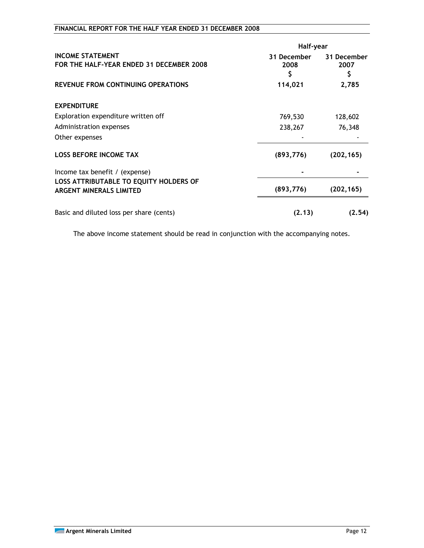| FINANCIAL REPORT FOR THE HALF YEAR ENDED 31 DECEMBER 2008 |
|-----------------------------------------------------------|
|-----------------------------------------------------------|

|                                                                          | Half-year                |                           |  |
|--------------------------------------------------------------------------|--------------------------|---------------------------|--|
| <b>INCOME STATEMENT</b><br>FOR THE HALF-YEAR ENDED 31 DECEMBER 2008      | 31 December<br>2008<br>Ş | 31 December<br>2007<br>\$ |  |
| <b>REVENUE FROM CONTINUING OPERATIONS</b>                                | 114,021                  | 2,785                     |  |
| <b>EXPENDITURE</b>                                                       |                          |                           |  |
| Exploration expenditure written off                                      | 769,530                  | 128,602                   |  |
| Administration expenses                                                  | 238,267                  | 76,348                    |  |
| Other expenses                                                           |                          |                           |  |
| <b>LOSS BEFORE INCOME TAX</b>                                            | (893, 776)               | (202, 165)                |  |
| Income tax benefit / (expense)                                           |                          |                           |  |
| LOSS ATTRIBUTABLE TO EQUITY HOLDERS OF<br><b>ARGENT MINERALS LIMITED</b> | (893, 776)               | (202, 165)                |  |
| Basic and diluted loss per share (cents)                                 | (2.13)                   | (2.54)                    |  |

The above income statement should be read in conjunction with the accompanying notes.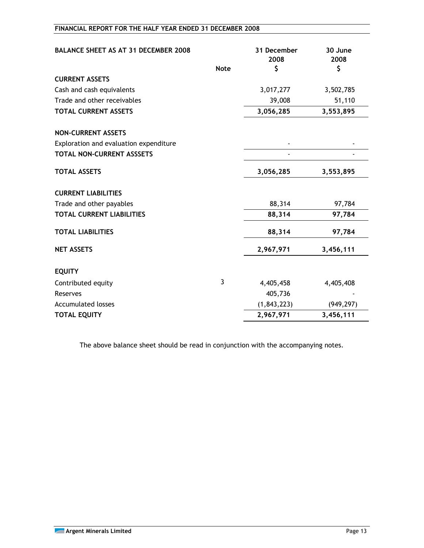| <b>BALANCE SHEET AS AT 31 DECEMBER 2008</b> | <b>Note</b> | 31 December<br>2008<br>\$ | 30 June<br>2008<br>\$ |
|---------------------------------------------|-------------|---------------------------|-----------------------|
| <b>CURRENT ASSETS</b>                       |             |                           |                       |
| Cash and cash equivalents                   |             | 3,017,277                 | 3,502,785             |
| Trade and other receivables                 |             | 39,008                    | 51,110                |
| <b>TOTAL CURRENT ASSETS</b>                 |             | 3,056,285                 | 3,553,895             |
| <b>NON-CURRENT ASSETS</b>                   |             |                           |                       |
| Exploration and evaluation expenditure      |             |                           |                       |
| TOTAL NON-CURRENT ASSSETS                   |             |                           |                       |
| <b>TOTAL ASSETS</b>                         |             | 3,056,285                 | 3,553,895             |
| <b>CURRENT LIABILITIES</b>                  |             |                           |                       |
| Trade and other payables                    |             | 88,314                    | 97,784                |
| <b>TOTAL CURRENT LIABILITIES</b>            |             | 88,314                    | 97,784                |
| <b>TOTAL LIABILITIES</b>                    |             | 88,314                    | 97,784                |
| <b>NET ASSETS</b>                           |             | 2,967,971                 | 3,456,111             |
| <b>EQUITY</b>                               |             |                           |                       |
| Contributed equity                          | 3           | 4,405,458                 | 4,405,408             |
| Reserves                                    |             | 405,736                   |                       |
| <b>Accumulated losses</b>                   |             | (1, 843, 223)             | (949, 297)            |
| <b>TOTAL EQUITY</b>                         |             | 2,967,971                 | 3,456,111             |

# **FINANCIAL REPORT FOR THE HALF YEAR ENDED 31 DECEMBER 2008**

The above balance sheet should be read in conjunction with the accompanying notes.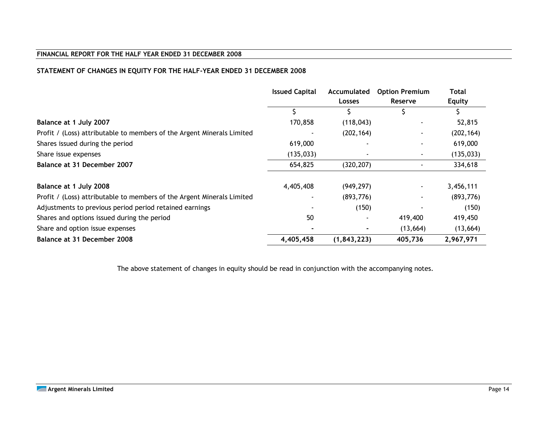# **FINANCIAL REPORT FOR THE HALF YEAR ENDED 31 DECEMBER 2008**

# **STATEMENT OF CHANGES IN EQUITY FOR THE HALF-YEAR ENDED 31 DECEMBER 2008**

|                                                                        | <b>Issued Capital</b> | Accumulated<br><b>Losses</b> | <b>Option Premium</b><br>Reserve | Total<br><b>Equity</b> |
|------------------------------------------------------------------------|-----------------------|------------------------------|----------------------------------|------------------------|
|                                                                        |                       | Ś.                           |                                  | S                      |
| Balance at 1 July 2007                                                 | 170,858               | (118, 043)                   |                                  | 52,815                 |
| Profit / (Loss) attributable to members of the Argent Minerals Limited |                       | (202, 164)                   |                                  | (202, 164)             |
| Shares issued during the period                                        | 619,000               |                              |                                  | 619,000                |
| Share issue expenses                                                   | (135, 033)            |                              |                                  | (135, 033)             |
| Balance at 31 December 2007                                            | 654,825               | (320, 207)                   | ۰.                               | 334,618                |
| Balance at 1 July 2008                                                 | 4,405,408             | (949, 297)                   |                                  | 3,456,111              |
| Profit / (Loss) attributable to members of the Argent Minerals Limited |                       | (893, 776)                   |                                  | (893, 776)             |
| Adjustments to previous period period retained earnings                |                       | (150)                        |                                  | (150)                  |
| Shares and options issued during the period                            | 50                    |                              | 419,400                          | 419,450                |
| Share and option issue expenses                                        |                       |                              | (13, 664)                        | (13, 664)              |
| Balance at 31 December 2008                                            | 4,405,458             | (1, 843, 223)                | 405,736                          | 2,967,971              |

The above statement of changes in equity should be read in conjunction with the accompanying notes.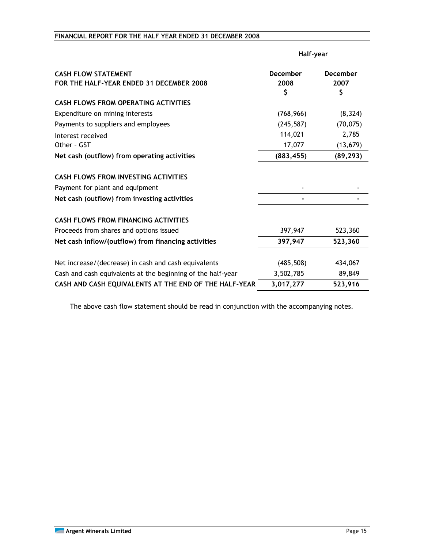|                                                                        | Half-year                     |                               |  |
|------------------------------------------------------------------------|-------------------------------|-------------------------------|--|
| <b>CASH FLOW STATEMENT</b><br>FOR THE HALF-YEAR ENDED 31 DECEMBER 2008 | <b>December</b><br>2008<br>\$ | <b>December</b><br>2007<br>\$ |  |
| <b>CASH FLOWS FROM OPERATING ACTIVITIES</b>                            |                               |                               |  |
| Expenditure on mining interests                                        | (768, 966)                    | (8, 324)                      |  |
| Payments to suppliers and employees                                    | (245, 587)                    | (70, 075)                     |  |
| Interest received                                                      | 114,021                       | 2,785                         |  |
| Other - GST                                                            | 17,077                        | (13, 679)                     |  |
| Net cash (outflow) from operating activities                           | (883, 455)                    | (89, 293)                     |  |
| <b>CASH FLOWS FROM INVESTING ACTIVITIES</b>                            |                               |                               |  |
| Payment for plant and equipment                                        |                               |                               |  |
| Net cash (outflow) from investing activities                           |                               |                               |  |
| <b>CASH FLOWS FROM FINANCING ACTIVITIES</b>                            |                               |                               |  |
| Proceeds from shares and options issued                                | 397,947                       | 523,360                       |  |
| Net cash inflow/(outflow) from financing activities                    | 397,947                       | 523,360                       |  |
| Net increase/(decrease) in cash and cash equivalents                   | (485, 508)                    | 434,067                       |  |
| Cash and cash equivalents at the beginning of the half-year            | 3,502,785                     | 89,849                        |  |
| CASH AND CASH EQUIVALENTS AT THE END OF THE HALF-YEAR                  | 3,017,277                     | 523,916                       |  |

The above cash flow statement should be read in conjunction with the accompanying notes.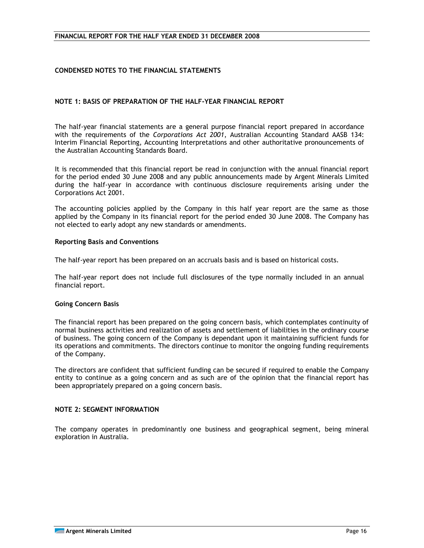## **FINANCIAL REPORT FOR THE HALF YEAR ENDED 31 DECEMBER 2008**

## **CONDENSED NOTES TO THE FINANCIAL STATEMENTS**

## **NOTE 1: BASIS OF PREPARATION OF THE HALF-YEAR FINANCIAL REPORT**

The half-year financial statements are a general purpose financial report prepared in accordance with the requirements of the *Corporations Act 2001*, Australian Accounting Standard AASB 134: Interim Financial Reporting, Accounting Interpretations and other authoritative pronouncements of the Australian Accounting Standards Board.

It is recommended that this financial report be read in conjunction with the annual financial report for the period ended 30 June 2008 and any public announcements made by Argent Minerals Limited during the half-year in accordance with continuous disclosure requirements arising under the Corporations Act 2001*.*

The accounting policies applied by the Company in this half year report are the same as those applied by the Company in its financial report for the period ended 30 June 2008. The Company has not elected to early adopt any new standards or amendments.

#### **Reporting Basis and Conventions**

The half-year report has been prepared on an accruals basis and is based on historical costs.

The half-year report does not include full disclosures of the type normally included in an annual financial report.

## **Going Concern Basis**

The financial report has been prepared on the going concern basis, which contemplates continuity of normal business activities and realization of assets and settlement of liabilities in the ordinary course of business. The going concern of the Company is dependant upon it maintaining sufficient funds for its operations and commitments. The directors continue to monitor the ongoing funding requirements of the Company.

The directors are confident that sufficient funding can be secured if required to enable the Company entity to continue as a going concern and as such are of the opinion that the financial report has been appropriately prepared on a going concern basis.

## **NOTE 2: SEGMENT INFORMATION**

The company operates in predominantly one business and geographical segment, being mineral exploration in Australia.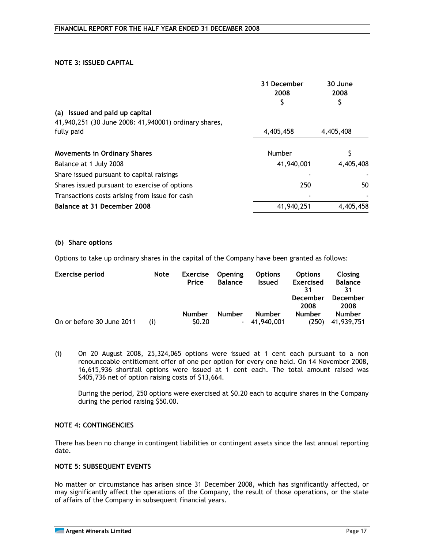## **NOTE 3: ISSUED CAPITAL**

|                                                       | 31 December<br>2008<br>\$ | 30 June<br>2008<br>\$ |
|-------------------------------------------------------|---------------------------|-----------------------|
| (a) Issued and paid up capital                        |                           |                       |
| 41,940,251 (30 June 2008: 41,940001) ordinary shares, |                           |                       |
| fully paid                                            | 4,405,458                 | 4,405,408             |
|                                                       |                           |                       |
| <b>Movements in Ordinary Shares</b>                   | Number                    |                       |
| Balance at 1 July 2008                                | 41,940,001                | 4,405,408             |
| Share issued pursuant to capital raisings             |                           |                       |
| Shares issued pursuant to exercise of options         | 250                       | 50                    |
| Transactions costs arising from issue for cash        |                           |                       |
| Balance at 31 December 2008                           | 41,940,251                | 4,405,458             |

#### **(b) Share options**

Options to take up ordinary shares in the capital of the Company have been granted as follows:

| <b>Exercise period</b>    | <b>Note</b> | <b>Exercise</b> | <b>Opening</b> | <b>Options</b> | <b>Options</b>   | <b>Closing</b>  |
|---------------------------|-------------|-----------------|----------------|----------------|------------------|-----------------|
|                           |             | Price           | <b>Balance</b> | <b>Issued</b>  | <b>Exercised</b> | <b>Balance</b>  |
|                           |             |                 |                |                | 31               | 31              |
|                           |             |                 |                |                | <b>December</b>  | <b>December</b> |
|                           |             |                 |                |                | 2008             | 2008            |
|                           |             | <b>Number</b>   | <b>Number</b>  | <b>Number</b>  | <b>Number</b>    | <b>Number</b>   |
| On or before 30 June 2011 | (i)         | \$0.20          |                | $-41,940,001$  | (250)            | 41,939,751      |

(i) On 20 August 2008, 25,324,065 options were issued at 1 cent each pursuant to a non renounceable entitlement offer of one per option for every one held. On 14 November 2008, 16,615,936 shortfall options were issued at 1 cent each. The total amount raised was \$405,736 net of option raising costs of \$13,664.

During the period, 250 options were exercised at \$0.20 each to acquire shares in the Company during the period raising \$50.00.

## **NOTE 4: CONTINGENCIES**

There has been no change in contingent liabilities or contingent assets since the last annual reporting date.

## **NOTE 5: SUBSEQUENT EVENTS**

No matter or circumstance has arisen since 31 December 2008, which has significantly affected, or may significantly affect the operations of the Company, the result of those operations, or the state of affairs of the Company in subsequent financial years.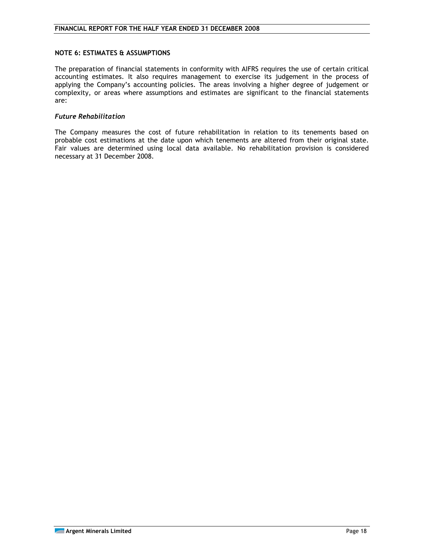## **NOTE 6: ESTIMATES & ASSUMPTIONS**

The preparation of financial statements in conformity with AIFRS requires the use of certain critical accounting estimates. It also requires management to exercise its judgement in the process of applying the Company's accounting policies. The areas involving a higher degree of judgement or complexity, or areas where assumptions and estimates are significant to the financial statements are:

## *Future Rehabilitation*

The Company measures the cost of future rehabilitation in relation to its tenements based on probable cost estimations at the date upon which tenements are altered from their original state. Fair values are determined using local data available. No rehabilitation provision is considered necessary at 31 December 2008.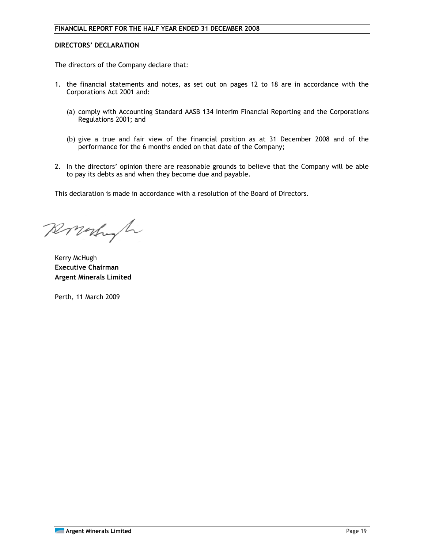# **DIRECTORS' DECLARATION**

The directors of the Company declare that:

- 1. the financial statements and notes, as set out on pages 12 to 18 are in accordance with the Corporations Act 2001 and:
	- (a) comply with Accounting Standard AASB 134 Interim Financial Reporting and the Corporations Regulations 2001; and
	- (b) give a true and fair view of the financial position as at 31 December 2008 and of the performance for the 6 months ended on that date of the Company;
- 2. In the directors' opinion there are reasonable grounds to believe that the Company will be able to pay its debts as and when they become due and payable.

This declaration is made in accordance with a resolution of the Board of Directors.

Ronalyh

Kerry McHugh **Executive Chairman Argent Minerals Limited** 

Perth, 11 March 2009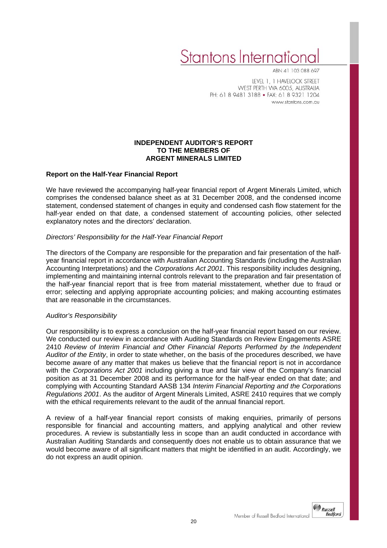# Stantons Internationa

ABN 41 103 088 697

LEVEL 1, 1 HAVELOCK STREET WEST PERTH WA 6005, AUSTRALIA PH: 61 8 9481 3188 • FAX: 61 8 9321 1204 www.stantons.com.au

# **INDEPENDENT AUDITOR'S REPORT TO THE MEMBERS OF ARGENT MINERALS LIMITED**

## **Report on the Half-Year Financial Report**

We have reviewed the accompanying half-year financial report of Argent Minerals Limited, which comprises the condensed balance sheet as at 31 December 2008, and the condensed income statement, condensed statement of changes in equity and condensed cash flow statement for the half-year ended on that date, a condensed statement of accounting policies, other selected explanatory notes and the directors' declaration.

## *Directors' Responsibility for the Half-Year Financial Report*

The directors of the Company are responsible for the preparation and fair presentation of the halfyear financial report in accordance with Australian Accounting Standards (including the Australian Accounting Interpretations) and the *Corporations Act 2001*. This responsibility includes designing, implementing and maintaining internal controls relevant to the preparation and fair presentation of the half-year financial report that is free from material misstatement, whether due to fraud or error; selecting and applying appropriate accounting policies; and making accounting estimates that are reasonable in the circumstances.

## *Auditor's Responsibility*

Our responsibility is to express a conclusion on the half-year financial report based on our review. We conducted our review in accordance with Auditing Standards on Review Engagements ASRE 2410 *Review of Interim Financial and Other Financial Reports Performed by the Independent Auditor of the Entity*, in order to state whether, on the basis of the procedures described, we have become aware of any matter that makes us believe that the financial report is not in accordance with the *Corporations Act 2001* including giving a true and fair view of the Company's financial position as at 31 December 2008 and its performance for the half-year ended on that date; and complying with Accounting Standard AASB 134 *Interim Financial Reporting and the Corporations Regulations 2001*. As the auditor of Argent Minerals Limited, ASRE 2410 requires that we comply with the ethical requirements relevant to the audit of the annual financial report.

A review of a half-year financial report consists of making enquiries, primarily of persons responsible for financial and accounting matters, and applying analytical and other review procedures. A review is substantially less in scope than an audit conducted in accordance with Australian Auditing Standards and consequently does not enable us to obtain assurance that we would become aware of all significant matters that might be identified in an audit. Accordingly, we do not express an audit opinion.